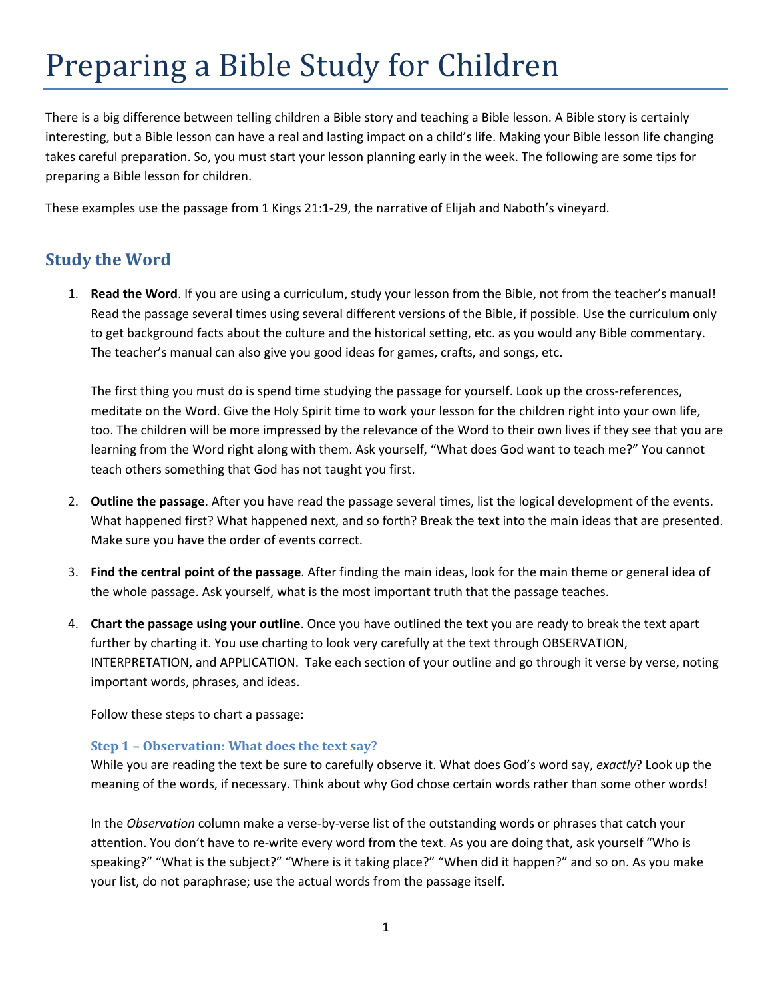# Preparing a Bible Study for Children

There is a big difference between telling children a Bible story and teaching a Bible lesson. A Bible story is certainly interesting, but a Bible lesson can have a real and lasting impact on a child's life. Making your Bible lesson life changing takes careful preparation. So, you must start your lesson planning early in the week. The following are some tips for preparing a Bible lesson for children.

These examples use the passage from 1 Kings 21:1-29, the narrative of Elijah and Naboth's vineyard.

# **Study the Word**

1. **Read the Word**. If you are using a curriculum, study your lesson from the Bible, not from the teacher's manual! Read the passage several times using several different versions of the Bible, if possible. Use the curriculum only to get background facts about the culture and the historical setting, etc. as you would any Bible commentary. The teacher's manual can also give you good ideas for games, crafts, and songs, etc.

The first thing you must do is spend time studying the passage for yourself. Look up the cross-references, meditate on the Word. Give the Holy Spirit time to work your lesson for the children right into your own life, too. The children will be more impressed by the relevance of the Word to their own lives if they see that you are learning from the Word right along with them. Ask yourself, "What does God want to teach me?" You cannot teach others something that God has not taught you first.

- 2. **Outline the passage**. After you have read the passage several times, list the logical development of the events. What happened first? What happened next, and so forth? Break the text into the main ideas that are presented. Make sure you have the order of events correct.
- 3. **Find the central point of the passage**. After finding the main ideas, look for the main theme or general idea of the whole passage. Ask yourself, what is the most important truth that the passage teaches.
- 4. **Chart the passage using your outline**. Once you have outlined the text you are ready to break the text apart further by charting it. You use charting to look very carefully at the text through OBSERVATION, INTERPRETATION, and APPLICATION. Take each section of your outline and go through it verse by verse, noting important words, phrases, and ideas.

Follow these steps to chart a passage:

## **Step 1 – Observation: What does the text say?**

While you are reading the text be sure to carefully observe it. What does God's word say, *exactly*? Look up the meaning of the words, if necessary. Think about why God chose certain words rather than some other words!

In the *Observation* column make a verse-by-verse list of the outstanding words or phrases that catch your attention. You don't have to re-write every word from the text. As you are doing that, ask yourself "Who is speaking?" "What is the subject?" "Where is it taking place?" "When did it happen?" and so on. As you make your list, do not paraphrase; use the actual words from the passage itself.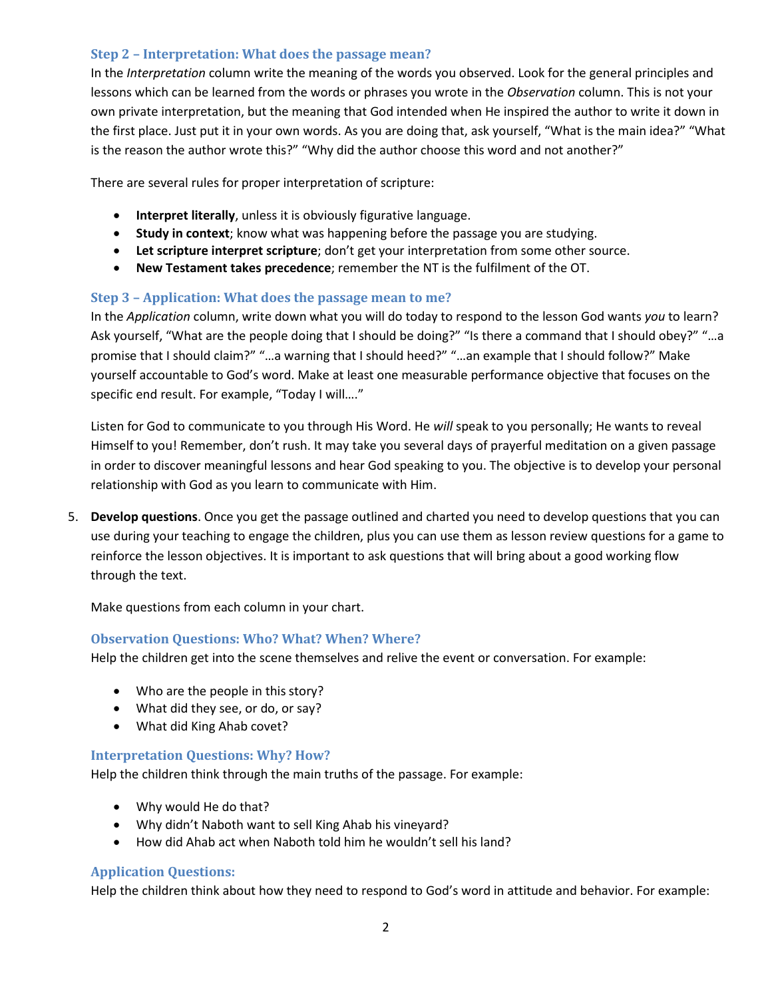## **Step 2 – Interpretation: What does the passage mean?**

In the *Interpretation* column write the meaning of the words you observed. Look for the general principles and lessons which can be learned from the words or phrases you wrote in the *Observation* column. This is not your own private interpretation, but the meaning that God intended when He inspired the author to write it down in the first place. Just put it in your own words. As you are doing that, ask yourself, "What is the main idea?" "What is the reason the author wrote this?" "Why did the author choose this word and not another?"

There are several rules for proper interpretation of scripture:

- **Interpret literally**, unless it is obviously figurative language.
- **Study in context**; know what was happening before the passage you are studying.
- **Let scripture interpret scripture**; don't get your interpretation from some other source.
- **New Testament takes precedence**; remember the NT is the fulfilment of the OT.

# **Step 3 – Application: What does the passage mean to me?**

In the *Application* column, write down what you will do today to respond to the lesson God wants *you* to learn? Ask yourself, "What are the people doing that I should be doing?" "Is there a command that I should obey?" "…a promise that I should claim?" "…a warning that I should heed?" "…an example that I should follow?" Make yourself accountable to God's word. Make at least one measurable performance objective that focuses on the specific end result. For example, "Today I will…."

Listen for God to communicate to you through His Word. He *will* speak to you personally; He wants to reveal Himself to you! Remember, don't rush. It may take you several days of prayerful meditation on a given passage in order to discover meaningful lessons and hear God speaking to you. The objective is to develop your personal relationship with God as you learn to communicate with Him.

5. **Develop questions**. Once you get the passage outlined and charted you need to develop questions that you can use during your teaching to engage the children, plus you can use them as lesson review questions for a game to reinforce the lesson objectives. It is important to ask questions that will bring about a good working flow through the text.

Make questions from each column in your chart.

## **Observation Questions: Who? What? When? Where?**

Help the children get into the scene themselves and relive the event or conversation. For example:

- Who are the people in this story?
- What did they see, or do, or say?
- What did King Ahab covet?

## **Interpretation Questions: Why? How?**

Help the children think through the main truths of the passage. For example:

- Why would He do that?
- Why didn't Naboth want to sell King Ahab his vineyard?
- How did Ahab act when Naboth told him he wouldn't sell his land?

## **Application Questions:**

Help the children think about how they need to respond to God's word in attitude and behavior. For example: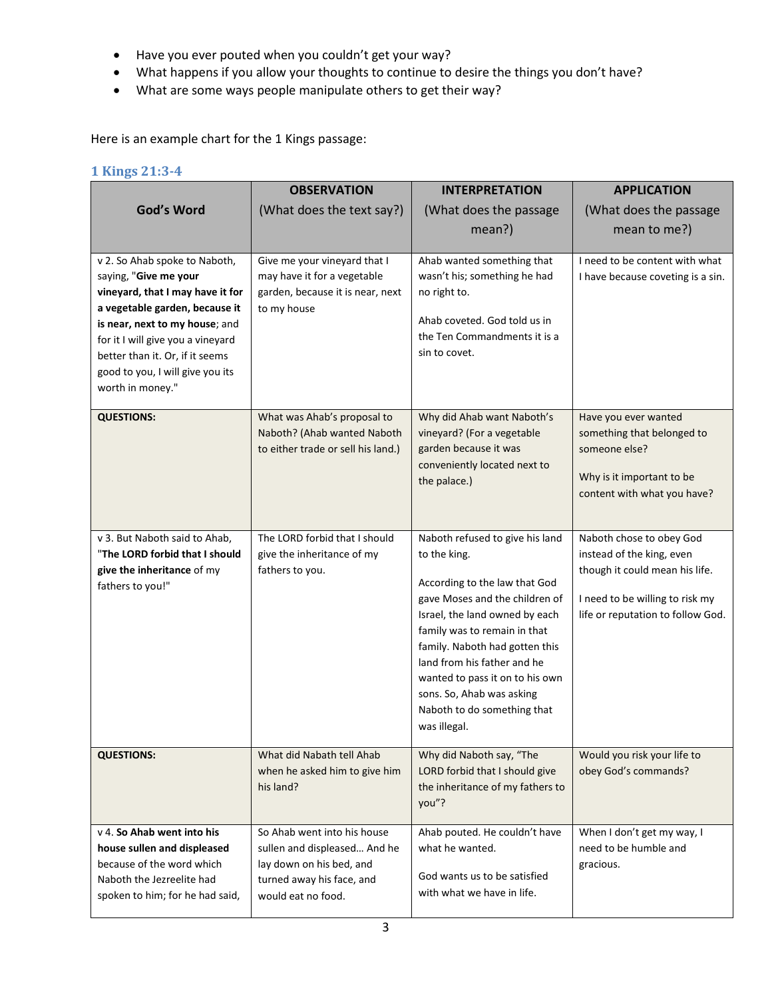- Have you ever pouted when you couldn't get your way?
- What happens if you allow your thoughts to continue to desire the things you don't have?
- What are some ways people manipulate others to get their way?

Here is an example chart for the 1 Kings passage:

# **1 Kings 21:3-4**

|                                   | <b>OBSERVATION</b>                 | <b>INTERPRETATION</b>                                         | <b>APPLICATION</b>                |
|-----------------------------------|------------------------------------|---------------------------------------------------------------|-----------------------------------|
| God's Word                        | (What does the text say?)          | (What does the passage                                        | (What does the passage            |
|                                   |                                    | mean?)                                                        | mean to me?)                      |
|                                   |                                    |                                                               |                                   |
| v 2. So Ahab spoke to Naboth,     | Give me your vineyard that I       | Ahab wanted something that                                    | I need to be content with what    |
| saying, "Give me your             | may have it for a vegetable        | wasn't his; something he had                                  | I have because coveting is a sin. |
| vineyard, that I may have it for  | garden, because it is near, next   | no right to.                                                  |                                   |
| a vegetable garden, because it    | to my house                        | Ahab coveted. God told us in                                  |                                   |
| is near, next to my house; and    |                                    | the Ten Commandments it is a                                  |                                   |
| for it I will give you a vineyard |                                    | sin to covet.                                                 |                                   |
| better than it. Or, if it seems   |                                    |                                                               |                                   |
| good to you, I will give you its  |                                    |                                                               |                                   |
| worth in money."                  |                                    |                                                               |                                   |
| <b>QUESTIONS:</b>                 | What was Ahab's proposal to        | Why did Ahab want Naboth's                                    | Have you ever wanted              |
|                                   | Naboth? (Ahab wanted Naboth        | vineyard? (For a vegetable                                    | something that belonged to        |
|                                   | to either trade or sell his land.) | garden because it was                                         | someone else?                     |
|                                   |                                    | conveniently located next to                                  |                                   |
|                                   |                                    | the palace.)                                                  | Why is it important to be         |
|                                   |                                    |                                                               | content with what you have?       |
|                                   |                                    |                                                               |                                   |
| v 3. But Naboth said to Ahab,     | The LORD forbid that I should      | Naboth refused to give his land                               | Naboth chose to obey God          |
| "The LORD forbid that I should    | give the inheritance of my         | to the king.                                                  | instead of the king, even         |
| give the inheritance of my        | fathers to you.                    |                                                               | though it could mean his life.    |
| fathers to you!"                  |                                    | According to the law that God                                 |                                   |
|                                   |                                    | gave Moses and the children of                                | I need to be willing to risk my   |
|                                   |                                    | Israel, the land owned by each                                | life or reputation to follow God. |
|                                   |                                    | family was to remain in that                                  |                                   |
|                                   |                                    | family. Naboth had gotten this<br>land from his father and he |                                   |
|                                   |                                    | wanted to pass it on to his own                               |                                   |
|                                   |                                    | sons. So, Ahab was asking                                     |                                   |
|                                   |                                    | Naboth to do something that                                   |                                   |
|                                   |                                    | was illegal.                                                  |                                   |
|                                   |                                    |                                                               |                                   |
| <b>QUESTIONS:</b>                 | What did Nabath tell Ahab          | Why did Naboth say, "The                                      | Would you risk your life to       |
|                                   | when he asked him to give him      | LORD forbid that I should give                                | obey God's commands?              |
|                                   | his land?                          | the inheritance of my fathers to                              |                                   |
|                                   |                                    | you"?                                                         |                                   |
| v 4. So Ahab went into his        | So Ahab went into his house        | Ahab pouted. He couldn't have                                 | When I don't get my way, I        |
| house sullen and displeased       | sullen and displeased And he       | what he wanted.                                               | need to be humble and             |
| because of the word which         | lay down on his bed, and           |                                                               | gracious.                         |
| Naboth the Jezreelite had         | turned away his face, and          | God wants us to be satisfied                                  |                                   |
| spoken to him; for he had said,   | would eat no food.                 | with what we have in life.                                    |                                   |
|                                   |                                    |                                                               |                                   |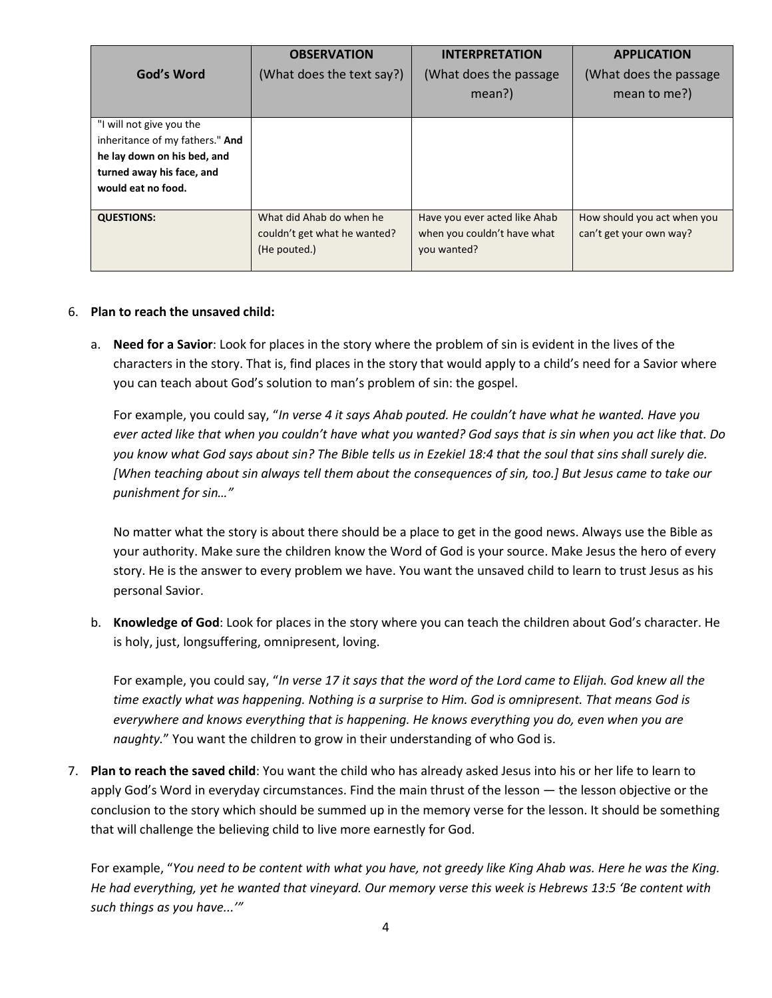|                                                                                                                                               | <b>OBSERVATION</b>                                                       | <b>INTERPRETATION</b>                                                       | <b>APPLICATION</b>                                     |
|-----------------------------------------------------------------------------------------------------------------------------------------------|--------------------------------------------------------------------------|-----------------------------------------------------------------------------|--------------------------------------------------------|
| God's Word                                                                                                                                    | (What does the text say?)                                                | (What does the passage)                                                     | (What does the passage)                                |
|                                                                                                                                               |                                                                          | mean?)                                                                      | mean to me?)                                           |
| "I will not give you the<br>inheritance of my fathers." And<br>he lay down on his bed, and<br>turned away his face, and<br>would eat no food. |                                                                          |                                                                             |                                                        |
| <b>QUESTIONS:</b>                                                                                                                             | What did Ahab do when he<br>couldn't get what he wanted?<br>(He pouted.) | Have you ever acted like Ahab<br>when you couldn't have what<br>you wanted? | How should you act when you<br>can't get your own way? |

#### 6. **Plan to reach the unsaved child:**

a. **Need for a Savior**: Look for places in the story where the problem of sin is evident in the lives of the characters in the story. That is, find places in the story that would apply to a child's need for a Savior where you can teach about God's solution to man's problem of sin: the gospel.

For example, you could say, "*In verse 4 it says Ahab pouted. He couldn't have what he wanted. Have you ever acted like that when you couldn't have what you wanted? God says that is sin when you act like that. Do you know what God says about sin? The Bible tells us in Ezekiel 18:4 that the soul that sins shall surely die. [When teaching about sin always tell them about the consequences of sin, too.] But Jesus came to take our punishment for sin…"*

No matter what the story is about there should be a place to get in the good news. Always use the Bible as your authority. Make sure the children know the Word of God is your source. Make Jesus the hero of every story. He is the answer to every problem we have. You want the unsaved child to learn to trust Jesus as his personal Savior.

b. **Knowledge of God**: Look for places in the story where you can teach the children about God's character. He is holy, just, longsuffering, omnipresent, loving.

For example, you could say, "*In verse 17 it says that the word of the Lord came to Elijah. God knew all the time exactly what was happening. Nothing is a surprise to Him. God is omnipresent. That means God is everywhere and knows everything that is happening. He knows everything you do, even when you are naughty.*" You want the children to grow in their understanding of who God is.

7. **Plan to reach the saved child**: You want the child who has already asked Jesus into his or her life to learn to apply God's Word in everyday circumstances. Find the main thrust of the lesson — the lesson objective or the conclusion to the story which should be summed up in the memory verse for the lesson. It should be something that will challenge the believing child to live more earnestly for God.

For example, "*You need to be content with what you have, not greedy like King Ahab was. Here he was the King. He had everything, yet he wanted that vineyard. Our memory verse this week is Hebrews 13:5 'Be content with such things as you have...'"*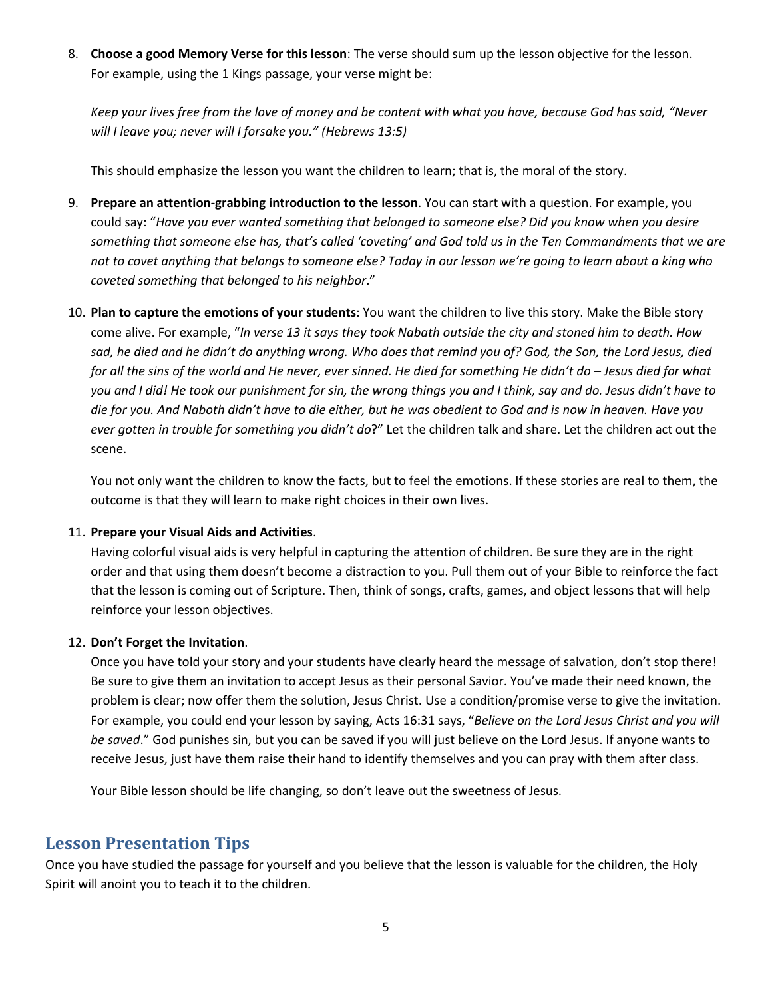8. **Choose a good Memory Verse for this lesson**: The verse should sum up the lesson objective for the lesson. For example, using the 1 Kings passage, your verse might be:

*Keep your lives free from the love of money and be content with what you have, because God has said, "Never will I leave you; never will I forsake you." (Hebrews 13:5)*

This should emphasize the lesson you want the children to learn; that is, the moral of the story.

- 9. **Prepare an attention-grabbing introduction to the lesson**. You can start with a question. For example, you could say: "*Have you ever wanted something that belonged to someone else? Did you know when you desire something that someone else has, that's called 'coveting' and God told us in the Ten Commandments that we are not to covet anything that belongs to someone else? Today in our lesson we're going to learn about a king who coveted something that belonged to his neighbor*."
- 10. **Plan to capture the emotions of your students**: You want the children to live this story. Make the Bible story come alive. For example, "*In verse 13 it says they took Nabath outside the city and stoned him to death. How* sad, he died and he didn't do anything wrong. Who does that remind you of? God, the Son, the Lord Jesus, died *for all the sins of the world and He never, ever sinned. He died for something He didn't do – Jesus died for what you and I did! He took our punishment for sin, the wrong things you and I think, say and do. Jesus didn't have to die for you. And Naboth didn't have to die either, but he was obedient to God and is now in heaven. Have you ever gotten in trouble for something you didn't do*?" Let the children talk and share. Let the children act out the scene.

You not only want the children to know the facts, but to feel the emotions. If these stories are real to them, the outcome is that they will learn to make right choices in their own lives.

#### 11. **Prepare your Visual Aids and Activities**.

Having colorful visual aids is very helpful in capturing the attention of children. Be sure they are in the right order and that using them doesn't become a distraction to you. Pull them out of your Bible to reinforce the fact that the lesson is coming out of Scripture. Then, think of songs, crafts, games, and object lessons that will help reinforce your lesson objectives.

#### 12. **Don't Forget the Invitation**.

Once you have told your story and your students have clearly heard the message of salvation, don't stop there! Be sure to give them an invitation to accept Jesus as their personal Savior. You've made their need known, the problem is clear; now offer them the solution, Jesus Christ. Use a condition/promise verse to give the invitation. For example, you could end your lesson by saying, Acts 16:31 says, "*Believe on the Lord Jesus Christ and you will be saved*." God punishes sin, but you can be saved if you will just believe on the Lord Jesus. If anyone wants to receive Jesus, just have them raise their hand to identify themselves and you can pray with them after class.

Your Bible lesson should be life changing, so don't leave out the sweetness of Jesus.

# **Lesson Presentation Tips**

Once you have studied the passage for yourself and you believe that the lesson is valuable for the children, the Holy Spirit will anoint you to teach it to the children.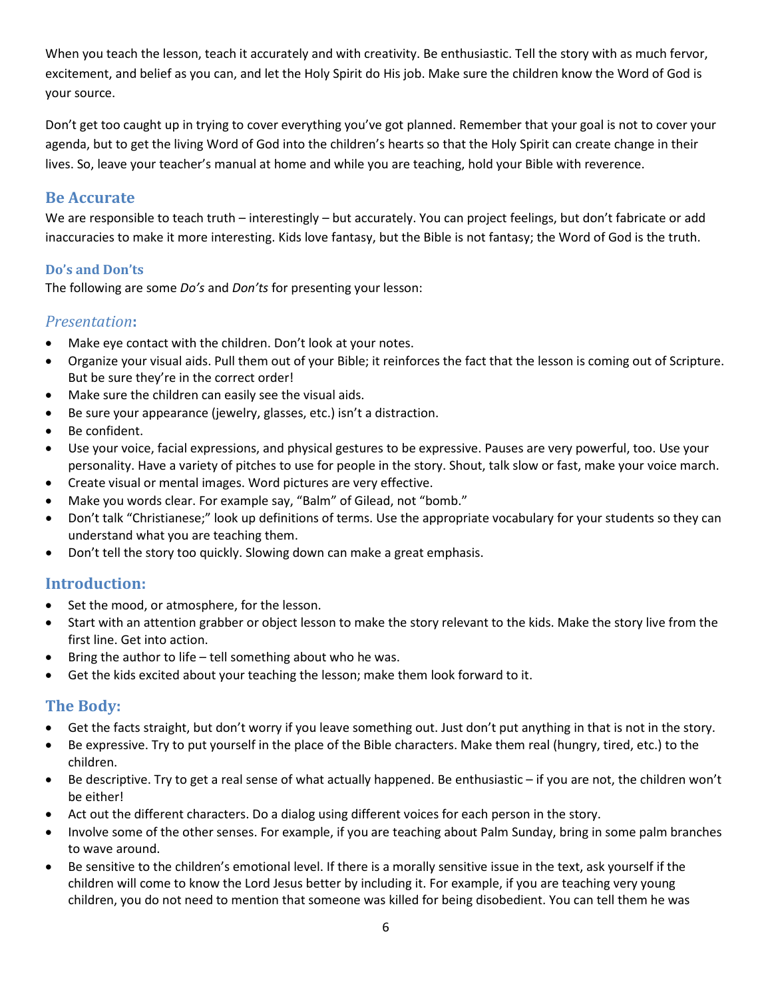When you teach the lesson, teach it accurately and with creativity. Be enthusiastic. Tell the story with as much fervor, excitement, and belief as you can, and let the Holy Spirit do His job. Make sure the children know the Word of God is your source.

Don't get too caught up in trying to cover everything you've got planned. Remember that your goal is not to cover your agenda, but to get the living Word of God into the children's hearts so that the Holy Spirit can create change in their lives. So, leave your teacher's manual at home and while you are teaching, hold your Bible with reverence.

# **Be Accurate**

We are responsible to teach truth – interestingly – but accurately. You can project feelings, but don't fabricate or add inaccuracies to make it more interesting. Kids love fantasy, but the Bible is not fantasy; the Word of God is the truth.

# **Do's and Don'ts**

The following are some *Do's* and *Don'ts* for presenting your lesson:

# *Presentation***:**

- Make eye contact with the children. Don't look at your notes.
- Organize your visual aids. Pull them out of your Bible; it reinforces the fact that the lesson is coming out of Scripture. But be sure they're in the correct order!
- Make sure the children can easily see the visual aids.
- Be sure your appearance (jewelry, glasses, etc.) isn't a distraction.
- Be confident.
- Use your voice, facial expressions, and physical gestures to be expressive. Pauses are very powerful, too. Use your personality. Have a variety of pitches to use for people in the story. Shout, talk slow or fast, make your voice march.
- Create visual or mental images. Word pictures are very effective.
- Make you words clear. For example say, "Balm" of Gilead, not "bomb."
- Don't talk "Christianese;" look up definitions of terms. Use the appropriate vocabulary for your students so they can understand what you are teaching them.
- Don't tell the story too quickly. Slowing down can make a great emphasis.

# **Introduction:**

- Set the mood, or atmosphere, for the lesson.
- Start with an attention grabber or object lesson to make the story relevant to the kids. Make the story live from the first line. Get into action.
- Bring the author to life  $-$  tell something about who he was.
- Get the kids excited about your teaching the lesson; make them look forward to it.

# **The Body:**

- Get the facts straight, but don't worry if you leave something out. Just don't put anything in that is not in the story.
- Be expressive. Try to put yourself in the place of the Bible characters. Make them real (hungry, tired, etc.) to the children.
- Be descriptive. Try to get a real sense of what actually happened. Be enthusiastic if you are not, the children won't be either!
- Act out the different characters. Do a dialog using different voices for each person in the story.
- Involve some of the other senses. For example, if you are teaching about Palm Sunday, bring in some palm branches to wave around.
- Be sensitive to the children's emotional level. If there is a morally sensitive issue in the text, ask yourself if the children will come to know the Lord Jesus better by including it. For example, if you are teaching very young children, you do not need to mention that someone was killed for being disobedient. You can tell them he was